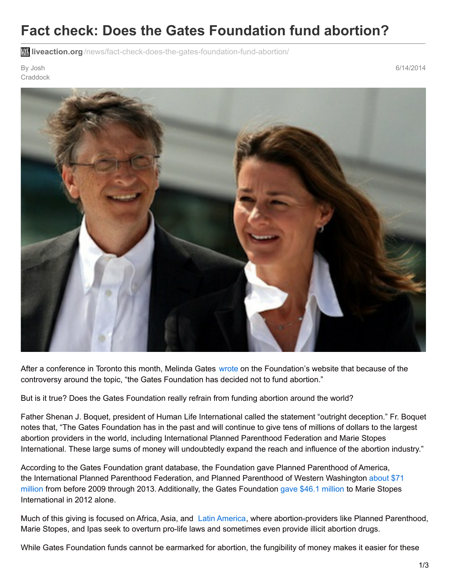## **Fact check: Does the Gates Foundation fund abortion?**

**liveaction.org** [/news/fact-check-does-the-gates-foundation-fund-abortion/](https://www.liveaction.org/news/fact-check-does-the-gates-foundation-fund-abortion/)

By Josh **Craddock**  6/14/2014



After a conference in Toronto this month, Melinda Gates [wrote](http://www.impatientoptimists.org/Posts/2014/06/Reflections-on-My-Trip-to-Toronto) on the Foundation's website that because of the controversy around the topic, "the Gates Foundation has decided not to fund abortion."

But is it true? Does the Gates Foundation really refrain from funding abortion around the world?

Father Shenan J. Boquet, president of Human Life International called the statement "outright deception." Fr. Boquet notes that, "The Gates Foundation has in the past and will continue to give tens of millions of dollars to the largest abortion providers in the world, including International Planned Parenthood Federation and Marie Stopes International. These large sums of money will undoubtedly expand the reach and influence of the abortion industry."

According to the Gates Foundation grant database, the Foundation gave Planned Parenthood of America, the [International](http://www.gatesfoundation.org/How-We-Work/Quick-Links/Grants-Database#q/k=Planned Parenthood) Planned Parenthood Federation, and Planned Parenthood of Western Washington about \$71 [million](http://www.gatesfoundation.org/How-We-Work/Quick-Links/Grants-Database#q/k=Marie Stopes) from before 2009 through 2013. Additionally, the Gates Foundation gave \$46.1 million to Marie Stopes International in 2012 alone.

Much of this giving is focused on Africa, Asia, and Latin [America,](http://www.gatesfoundation.org/Media-Center/Press-Releases/1999/10/International-Planned-Parenthood-Federation991013) where abortion-providers like Planned Parenthood, Marie Stopes, and Ipas seek to overturn pro-life laws and sometimes even provide illicit abortion drugs.

While Gates Foundation funds cannot be earmarked for abortion, the fungibility of money makes it easier for these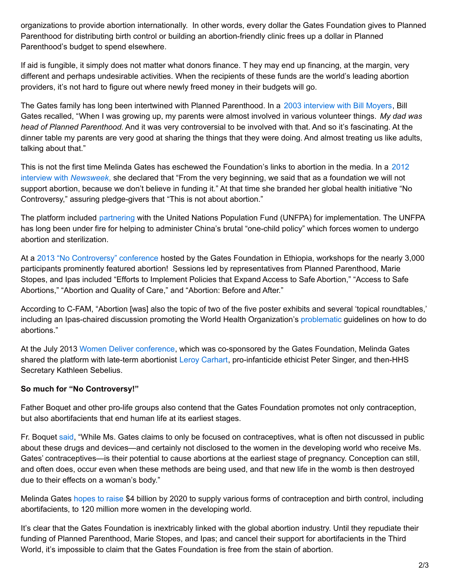organizations to provide abortion internationally. In other words, every dollar the Gates Foundation gives to Planned Parenthood for distributing birth control or building an abortion-friendly clinic frees up a dollar in Planned Parenthood's budget to spend elsewhere.

If aid is fungible, it simply does not matter what donors finance. T hey may end up financing, at the margin, very different and perhaps undesirable activities. When the recipients of these funds are the world's leading abortion providers, it's not hard to figure out where newly freed money in their budgets will go.

The Gates family has long been intertwined with Planned Parenthood. In a 2003 [interview](http://www.pbs.org/now/transcript/transcript_gates.html) with Bill Moyers, Bill Gates recalled, "When I was growing up, my parents were almost involved in various volunteer things. *My dad was head of Planned Parenthood.* And it was very controversial to be involved with that. And so it's fascinating. At the dinner table my parents are very good at sharing the things that they were doing. And almost treating us like adults, talking about that."

This is not the first time Melinda Gates has eschewed the [Foundation's](http://www.newsweek.com/melinda-gates-new-crusade-investing-billions-womens-health-64965) links to abortion in the media. In a 2012 interview with *Newsweek*, she declared that "From the very beginning, we said that as a foundation we will not support abortion, because we don't believe in funding it." At that time she branded her global health initiative "No Controversy," assuring pledge-givers that "This is not about abortion."

The platform included [partnering](http://www.gatesfoundation.org/search#q/k=UNFPA) with the United Nations Population Fund (UNFPA) for implementation. The UNFPA has long been under fire for helping to administer China's brutal "one-child policy" which forces women to undergo abortion and sterilization.

At a 2013 "No [Controversy"](http://c-fam.org/en/issues/global-health/7606-bait-and-switch-gates-family-planning-conference-to-feature-abortion) conference hosted by the Gates Foundation in Ethiopia, workshops for the nearly 3,000 participants prominently featured abortion! Sessions led by representatives from Planned Parenthood, Marie Stopes, and Ipas included "Efforts to Implement Policies that Expand Access to Safe Abortion," "Access to Safe Abortions," "Abortion and Quality of Care," and "Abortion: Before and After."

According to C-FAM, "Abortion [was] also the topic of two of the five poster exhibits and several 'topical roundtables,' including an Ipas-chaired discussion promoting the World Health Organization's [problematic](http://c-fam.org/en/briefing-papers/2931-eleven-problems-with-the-2012-who-technical-guidance-on-abortion) guidelines on how to do abortions."

At the July 2013 Women Deliver [conference](http://www.breitbart.com/Big-Peace/2013/05/26/Prominent-Pro-Abortion-Advocates-Featured-At-Women-Deliver-International-Conference), which was co-sponsored by the Gates Foundation, Melinda Gates shared the platform with late-term abortionist Leroy [Carhart](http://www.liveaction.org/inhuman/leroy-carhart-the-facts/), pro-infanticide ethicist Peter Singer, and then-HHS Secretary Kathleen Sebelius.

## **So much for "No Controversy!"**

Father Boquet and other pro-life groups also contend that the Gates Foundation promotes not only contraception, but also abortifacients that end human life at its earliest stages.

Fr. Boquet [said](http://www.hli.org/2014/06/claim-gates-foundation-fund-abortion-outright-deception/), "While Ms. Gates claims to only be focused on contraceptives, what is often not discussed in public about these drugs and devices—and certainly not disclosed to the women in the developing world who receive Ms. Gates' contraceptives—is their potential to cause abortions at the earliest stage of pregnancy. Conception can still, and often does, occur even when these methods are being used, and that new life in the womb is then destroyed due to their effects on a woman's body."

Melinda Gates [hopes](http://www.marketwatch.com/story/gatess-4-billion-foray-in-global-family-planning-2012-05-15) to raise \$4 billion by 2020 to supply various forms of contraception and birth control, including abortifacients, to 120 million more women in the developing world.

It's clear that the Gates Foundation is inextricably linked with the global abortion industry. Until they repudiate their funding of Planned Parenthood, Marie Stopes, and Ipas; and cancel their support for abortifacients in the Third World, it's impossible to claim that the Gates Foundation is free from the stain of abortion.